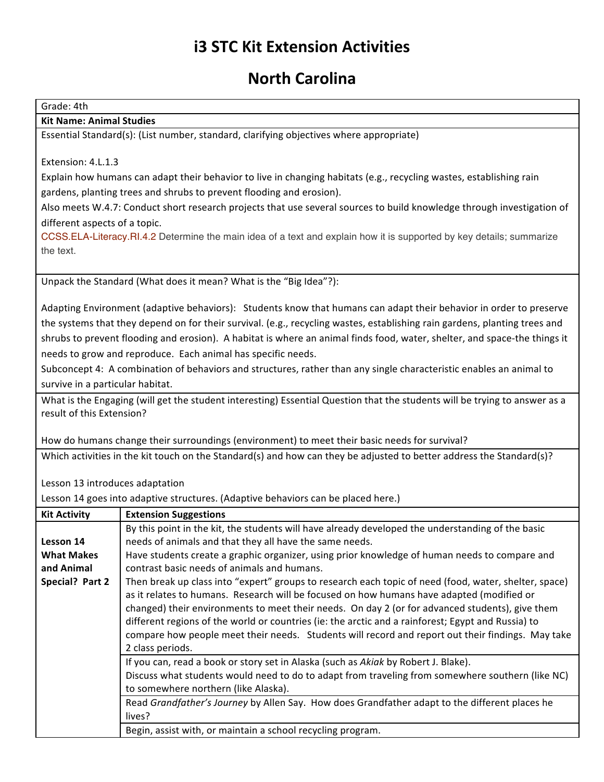## **i3 STC Kit Extension Activities**

## **North Carolina**

Grade: 4th

## **Kit Name: Animal Studies**

Essential Standard(s): (List number, standard, clarifying objectives where appropriate)

Extension: 4.L.1.3

Explain how humans can adapt their behavior to live in changing habitats (e.g., recycling wastes, establishing rain gardens, planting trees and shrubs to prevent flooding and erosion).

Also meets W.4.7: Conduct short research projects that use several sources to build knowledge through investigation of different aspects of a topic.

CCSS.ELA-Literacy.RI.4.2 Determine the main idea of a text and explain how it is supported by key details; summarize the text.

Unpack the Standard (What does it mean? What is the "Big Idea"?):

Adapting Environment (adaptive behaviors): Students know that humans can adapt their behavior in order to preserve the systems that they depend on for their survival. (e.g., recycling wastes, establishing rain gardens, planting trees and shrubs to prevent flooding and erosion). A habitat is where an animal finds food, water, shelter, and space-the things it needs to grow and reproduce. Each animal has specific needs.

Subconcept 4: A combination of behaviors and structures, rather than any single characteristic enables an animal to survive in a particular habitat.

What is the Engaging (will get the student interesting) Essential Question that the students will be trying to answer as a result of this Extension?

How do humans change their surroundings (environment) to meet their basic needs for survival?

Which activities in the kit touch on the Standard(s) and how can they be adjusted to better address the Standard(s)?

## Lesson 13 introduces adaptation

Lesson 14 goes into adaptive structures. (Adaptive behaviors can be placed here.)

| <b>Kit Activity</b> | <b>Extension Suggestions</b>                                                                                                                                                                                                                                                                                                                                                                                                                                                                                                         |
|---------------------|--------------------------------------------------------------------------------------------------------------------------------------------------------------------------------------------------------------------------------------------------------------------------------------------------------------------------------------------------------------------------------------------------------------------------------------------------------------------------------------------------------------------------------------|
| Lesson 14           | By this point in the kit, the students will have already developed the understanding of the basic                                                                                                                                                                                                                                                                                                                                                                                                                                    |
|                     | needs of animals and that they all have the same needs.                                                                                                                                                                                                                                                                                                                                                                                                                                                                              |
| <b>What Makes</b>   | Have students create a graphic organizer, using prior knowledge of human needs to compare and                                                                                                                                                                                                                                                                                                                                                                                                                                        |
| and Animal          | contrast basic needs of animals and humans.                                                                                                                                                                                                                                                                                                                                                                                                                                                                                          |
| Special? Part 2     | Then break up class into "expert" groups to research each topic of need (food, water, shelter, space)<br>as it relates to humans. Research will be focused on how humans have adapted (modified or<br>changed) their environments to meet their needs. On day 2 (or for advanced students), give them<br>different regions of the world or countries (ie: the arctic and a rainforest; Egypt and Russia) to<br>compare how people meet their needs. Students will record and report out their findings. May take<br>2 class periods. |
|                     | If you can, read a book or story set in Alaska (such as Akiak by Robert J. Blake).<br>Discuss what students would need to do to adapt from traveling from somewhere southern (like NC)<br>to somewhere northern (like Alaska).                                                                                                                                                                                                                                                                                                       |
|                     | Read Grandfather's Journey by Allen Say. How does Grandfather adapt to the different places he<br>lives?                                                                                                                                                                                                                                                                                                                                                                                                                             |
|                     | Begin, assist with, or maintain a school recycling program.                                                                                                                                                                                                                                                                                                                                                                                                                                                                          |